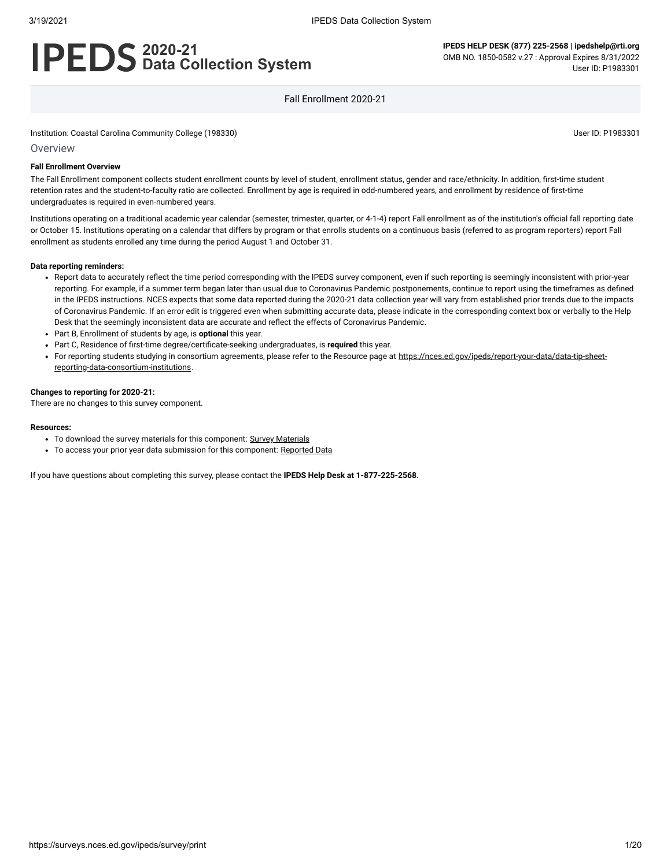# **2020-21 Data Collection System**

**IPEDS HELP DESK (877) 225-2568 | ipedshelp@rti.org** OMB NO. 1850-0582 v.27 : Approval Expires 8/31/2022 User ID: P1983301

Fall Enrollment 2020-21

Institution: Coastal Carolina Community College (198330) User ID: P1983301

Overview

#### **Fall Enrollment Overview**

The Fall Enrollment component collects student enrollment counts by level of student, enrollment status, gender and race/ethnicity. In addition, first-time student retention rates and the student-to-faculty ratio are collected. Enrollment by age is required in odd-numbered years, and enrollment by residence of first-time undergraduates is required in even-numbered years.

Institutions operating on a traditional academic year calendar (semester, trimester, quarter, or 4-1-4) report Fall enrollment as of the institution's official fall reporting date or October 15. Institutions operating on a calendar that differs by program or that enrolls students on a continuous basis (referred to as program reporters) report Fall enrollment as students enrolled any time during the period August 1 and October 31.

#### **Data reporting reminders:**

- Report data to accurately reflect the time period corresponding with the IPEDS survey component, even if such reporting is seemingly inconsistent with prior-year reporting. For example, if a summer term began later than usual due to Coronavirus Pandemic postponements, continue to report using the timeframes as defined in the IPEDS instructions. NCES expects that some data reported during the 2020-21 data collection year will vary from established prior trends due to the impacts of Coronavirus Pandemic. If an error edit is triggered even when submitting accurate data, please indicate in the corresponding context box or verbally to the Help Desk that the seemingly inconsistent data are accurate and reflect the effects of Coronavirus Pandemic.
- Part B, Enrollment of students by age, is **optional** this year.
- Part C, Residence of first-time degree/certificate-seeking undergraduates, is **required** this year.
- For reporting students studying in consortium agreements, please refer to the Resource page at [https://nces.ed.gov/ipeds/report-your-data/data-tip-sheet](https://nces.ed.gov/ipeds/report-your-data/data-tip-sheet-reporting-data-consortium-institutions)reporting-data-consortium-institutions.

#### **Changes to reporting for 2020-21:**

There are no changes to this survey component.

#### **Resources:**

- To download the survey materials for this component: Survey [Materials](https://surveys.nces.ed.gov/ipeds/public/survey-materials/index)
- To access your prior year data submission for this component: [Reported Data](https://surveys.nces.ed.gov/IPEDS_py/DataForms.aspx?f0e9e4efc4dfb8acb4b3aeaeaba1eef0edf1e0f4c4dfb8b1a1f0eee0edc4dfb8cbacb4b3aeaeabaca1f0e9e4efc9dce8e0b8beeadceeefdce79bbedcedeae7e4e9dc9bbeeae8e8f0e9e4eff49bbeeae7e7e0e2e0a1ebedeadee0eeeeb8e0f3efe0ede9dce7a1eddfefb8aeaaacb4aaadabadac9bb2b5afabb5aeaf9bbcc8)

If you have questions about completing this survey, please contact the **IPEDS Help Desk at 1-877-225-2568**.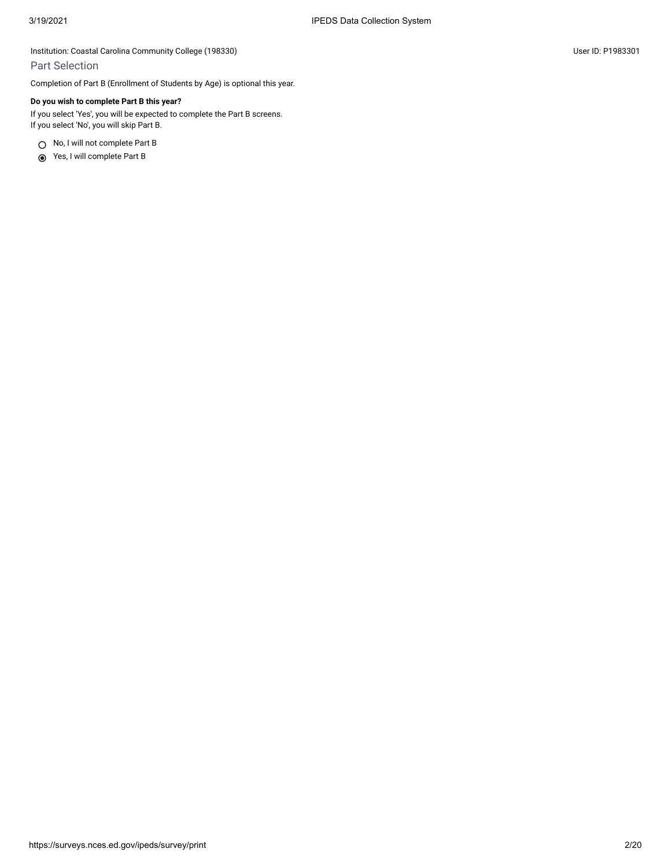### Part Selection

Completion of Part B (Enrollment of Students by Age) is optional this year.

### **Do you wish to complete Part B this year?**

If you select 'Yes', you will be expected to complete the Part B screens. If you select 'No', you will skip Part B.

○ No, I will not complete Part B

Yes, I will complete Part B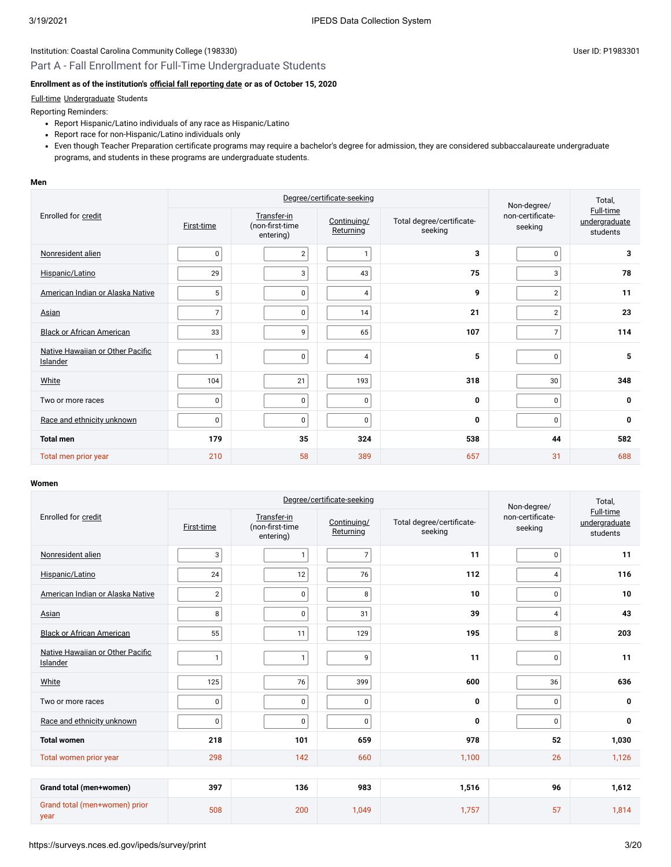### Part A - Fall Enrollment for Full-Time Undergraduate Students

### **Enrollment as of the institution's [official fall reporting date](javascript:openglossary(431)) or as of October 15, 2020**

### [Full-time](javascript:openglossary(259)) [Undergraduate](javascript:openglossary(677)) Students

Reporting Reminders:

- Report Hispanic/Latino individuals of any race as Hispanic/Latino
- Report race for non-Hispanic/Latino individuals only
- Even though Teacher Preparation certificate programs may require a bachelor's degree for admission, they are considered subbaccalaureate undergraduate programs, and students in these programs are undergraduate students.

#### **Men**

|                                              | Degree/certificate-seeking |                                             |                                 |                                      | Non-degree/                 | Total,                                        |  |
|----------------------------------------------|----------------------------|---------------------------------------------|---------------------------------|--------------------------------------|-----------------------------|-----------------------------------------------|--|
| Enrolled for credit                          | First-time                 | Transfer-in<br>(non-first-time<br>entering) | Continuing/<br><b>Returning</b> | Total degree/certificate-<br>seeking | non-certificate-<br>seeking | <b>Full-time</b><br>undergraduate<br>students |  |
| Nonresident alien                            | $\mathbf 0$                | $\overline{2}$                              | $\mathbf{1}$                    | 3                                    | $\mathbf 0$                 | 3                                             |  |
| Hispanic/Latino                              | 29                         | 3                                           | 43                              | 75                                   | 3                           | 78                                            |  |
| American Indian or Alaska Native             | 5                          | 0                                           | $\overline{4}$                  | 9                                    | $\overline{2}$              | 11                                            |  |
| Asian                                        | $\overline{7}$             | $\mathbf 0$                                 | 14                              | 21                                   | $\overline{2}$              | 23                                            |  |
| <b>Black or African American</b>             | 33                         | 9                                           | 65                              | 107                                  | $\overline{7}$              | 114                                           |  |
| Native Hawaiian or Other Pacific<br>Islander | ۹                          | $\mathbf 0$                                 | $\overline{4}$                  | 5                                    | $\mathbf 0$                 | 5                                             |  |
| White                                        | 104                        | 21                                          | 193                             | 318                                  | 30                          | 348                                           |  |
| Two or more races                            | $\mathbf 0$                | $\mathbf 0$                                 | $\mathbf 0$                     | 0                                    | $\mathbf 0$                 | 0                                             |  |
| Race and ethnicity unknown                   | $\mathbf 0$                | $\mathbf 0$                                 | $\mathbf 0$                     | 0                                    | $\mathbf 0$                 | $\mathbf{0}$                                  |  |
| <b>Total men</b>                             | 179                        | 35                                          | 324                             | 538                                  | 44                          | 582                                           |  |
| Total men prior year                         | 210                        | 58                                          | 389                             | 657                                  | 31                          | 688                                           |  |

#### **Women**

|                                              |                |                                             | Degree/certificate-seeking      | Non-degree/                          | Total,                      |                                               |
|----------------------------------------------|----------------|---------------------------------------------|---------------------------------|--------------------------------------|-----------------------------|-----------------------------------------------|
| Enrolled for credit                          | First-time     | Transfer-in<br>(non-first-time<br>entering) | Continuing/<br><b>Returning</b> | Total degree/certificate-<br>seeking | non-certificate-<br>seeking | <b>Full-time</b><br>undergraduate<br>students |
| Nonresident alien                            | 3              | $\mathbf{1}$                                | $\overline{7}$                  | 11                                   | $\mathsf 0$                 | 11                                            |
| Hispanic/Latino                              | 24             | 12                                          | 76                              | 112                                  | 4                           | 116                                           |
| American Indian or Alaska Native             | $\overline{2}$ | 0                                           | 8                               | 10                                   | $\mathbf{0}$                | 10                                            |
| Asian                                        | 8              | 0                                           | 31                              | 39                                   | 4                           | 43                                            |
| <b>Black or African American</b>             | 55             | 11                                          | 129                             | 195                                  | 8                           | 203                                           |
| Native Hawaiian or Other Pacific<br>Islander | 1              | $\mathbf{1}$                                | 9                               | 11                                   | 0                           | 11                                            |
| White                                        | 125            | 76                                          | 399                             | 600                                  | 36                          | 636                                           |
| Two or more races                            | $\mathbf 0$    | 0                                           | $\mathbf 0$                     | 0                                    | $\mathbf 0$                 | 0                                             |
| Race and ethnicity unknown                   | $\mathbf 0$    | 0                                           | $\mathbf 0$                     | 0                                    | $\mathsf 0$                 | 0                                             |
| <b>Total women</b>                           | 218            | 101                                         | 659                             | 978                                  | 52                          | 1,030                                         |
| Total women prior year                       | 298            | 142                                         | 660                             | 1,100                                | 26                          | 1,126                                         |
|                                              |                |                                             |                                 |                                      |                             |                                               |
| Grand total (men+women)                      | 397            | 136                                         | 983                             | 1,516                                | 96                          | 1,612                                         |
| Grand total (men+women) prior<br>year        | 508            | 200                                         | 1,049                           | 1,757                                | 57                          | 1,814                                         |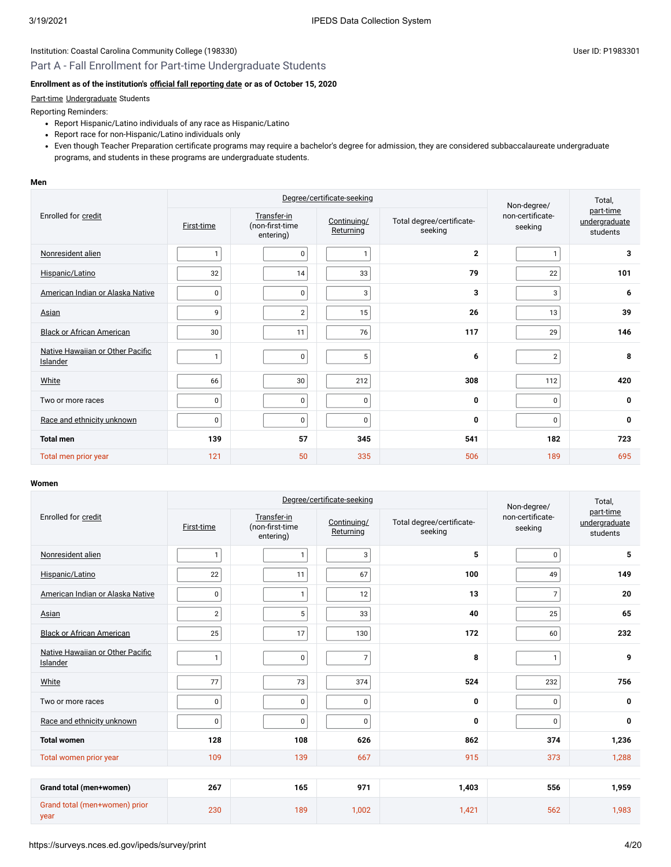### Part A - Fall Enrollment for Part-time Undergraduate Students

### **Enrollment as of the institution's [official fall reporting date](javascript:openglossary(431)) or as of October 15, 2020**

#### [Part-time](javascript:openglossary(469)) [Undergraduate](javascript:openglossary(677)) Students

Reporting Reminders:

- Report Hispanic/Latino individuals of any race as Hispanic/Latino
- Report race for non-Hispanic/Latino individuals only
- Even though Teacher Preparation certificate programs may require a bachelor's degree for admission, they are considered subbaccalaureate undergraduate programs, and students in these programs are undergraduate students.

#### **Men**

|                                              | Degree/certificate-seeking |                                             |                          | Non-degree/                          | Total,                      |                                        |
|----------------------------------------------|----------------------------|---------------------------------------------|--------------------------|--------------------------------------|-----------------------------|----------------------------------------|
| Enrolled for credit                          | First-time                 | Transfer-in<br>(non-first-time<br>entering) | Continuing/<br>Returning | Total degree/certificate-<br>seeking | non-certificate-<br>seeking | part-time<br>undergraduate<br>students |
| Nonresident alien                            | $\mathbf{1}$               | $\mathbf 0$                                 | 1                        | $\overline{2}$                       | $\mathbf{1}$                | 3                                      |
| Hispanic/Latino                              | 32                         | 14                                          | 33                       | 79                                   | 22                          | 101                                    |
| American Indian or Alaska Native             | $\pmb{0}$                  | 0                                           | 3                        | 3                                    | 3                           | 6                                      |
| Asian                                        | 9                          | $\overline{2}$                              | 15                       | 26                                   | 13                          | 39                                     |
| <b>Black or African American</b>             | 30                         | 11                                          | 76                       | 117                                  | 29                          | 146                                    |
| Native Hawaiian or Other Pacific<br>Islander | $\mathbf{1}$               | $\mathbf 0$                                 | 5                        | 6                                    | $\overline{2}$              | 8                                      |
| White                                        | 66                         | 30                                          | 212                      | 308                                  | 112                         | 420                                    |
| Two or more races                            | $\pmb{0}$                  | $\mathbf 0$                                 | $\pmb{0}$                | $\mathbf{0}$                         | $\pmb{0}$                   | $\mathbf 0$                            |
| Race and ethnicity unknown                   | $\pmb{0}$                  | $\pmb{0}$                                   | $\mathbf{0}$             | 0                                    | $\mathbf 0$                 | $\mathbf 0$                            |
| <b>Total men</b>                             | 139                        | 57                                          | 345                      | 541                                  | 182                         | 723                                    |
| Total men prior year                         | 121                        | 50                                          | 335                      | 506                                  | 189                         | 695                                    |

#### **Women**

|                                              | Degree/certificate-seeking |                                             |                          |                                      | Non-degree/                 | Total,                                 |  |
|----------------------------------------------|----------------------------|---------------------------------------------|--------------------------|--------------------------------------|-----------------------------|----------------------------------------|--|
| Enrolled for credit                          | First-time                 | Transfer-in<br>(non-first-time<br>entering) | Continuing/<br>Returning | Total degree/certificate-<br>seeking | non-certificate-<br>seeking | part-time<br>undergraduate<br>students |  |
| Nonresident alien                            | $\mathbf{1}$               | $\mathbf{1}$                                | 3                        | 5                                    | $\pmb{0}$                   | 5                                      |  |
| Hispanic/Latino                              | 22                         | 11                                          | 67                       | 100                                  | 49                          | 149                                    |  |
| American Indian or Alaska Native             | $\pmb{0}$                  | $\mathbf{1}$                                | 12                       | 13                                   | $\overline{7}$              | 20                                     |  |
| Asian                                        | $\overline{2}$             | 5                                           | 33                       | 40                                   | 25                          | 65                                     |  |
| <b>Black or African American</b>             | 25                         | 17                                          | 130                      | 172                                  | 60                          | 232                                    |  |
| Native Hawaiian or Other Pacific<br>Islander | $\mathbf{1}$               | $\pmb{0}$                                   | $\overline{7}$           | 8                                    | $\mathbf{1}$                | 9                                      |  |
| White                                        | 77                         | 73                                          | 374                      | 524                                  | 232                         | 756                                    |  |
| Two or more races                            | $\pmb{0}$                  | $\pmb{0}$                                   | $\pmb{0}$                | 0                                    | $\pmb{0}$                   | $\mathbf 0$                            |  |
| Race and ethnicity unknown                   | 0                          | $\mathbf 0$                                 | $\mathbf 0$              | 0                                    | $\pmb{0}$                   | 0                                      |  |
| <b>Total women</b>                           | 128                        | 108                                         | 626                      | 862                                  | 374                         | 1,236                                  |  |
| Total women prior year                       | 109                        | 139                                         | 667                      | 915                                  | 373                         | 1,288                                  |  |
|                                              |                            |                                             |                          |                                      |                             |                                        |  |
| Grand total (men+women)                      | 267                        | 165                                         | 971                      | 1,403                                | 556                         | 1,959                                  |  |
| Grand total (men+women) prior<br>year        | 230                        | 189                                         | 1,002                    | 1,421                                | 562                         | 1,983                                  |  |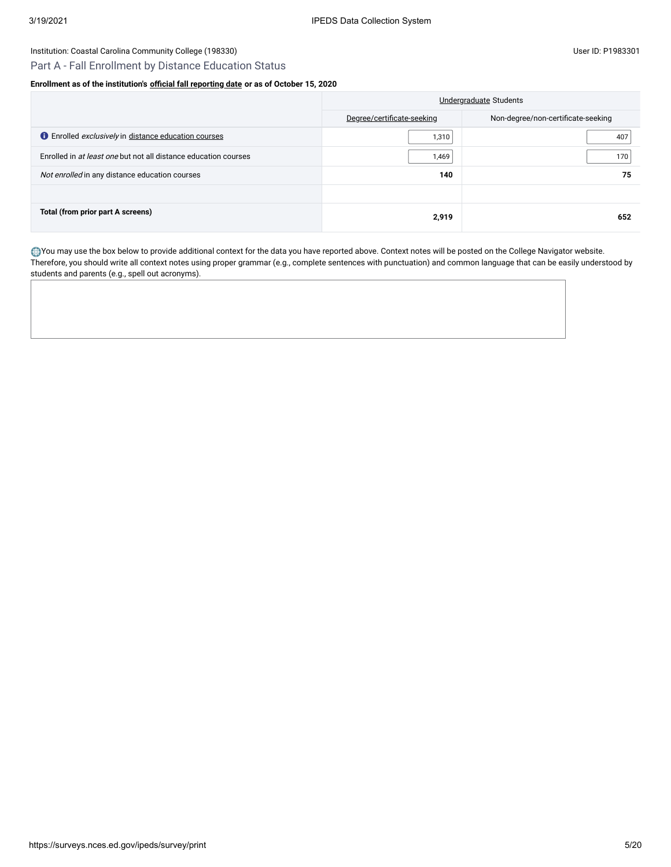## Part A - Fall Enrollment by Distance Education Status

### **Enrollment as of the institution's [official fall reporting date](javascript:openglossary(431)) or as of October 15, 2020**

|                                                                    | Undergraduate Students     |                                    |  |
|--------------------------------------------------------------------|----------------------------|------------------------------------|--|
|                                                                    | Degree/certificate-seeking | Non-degree/non-certificate-seeking |  |
| <b>O</b> Enrolled <i>exclusively</i> in distance education courses | 1,310                      | 407                                |  |
| Enrolled in at least one but not all distance education courses    | 1,469                      | 170                                |  |
| Not enrolled in any distance education courses                     | 140                        | 75                                 |  |
|                                                                    |                            |                                    |  |
| Total (from prior part A screens)                                  | 2,919                      | 652                                |  |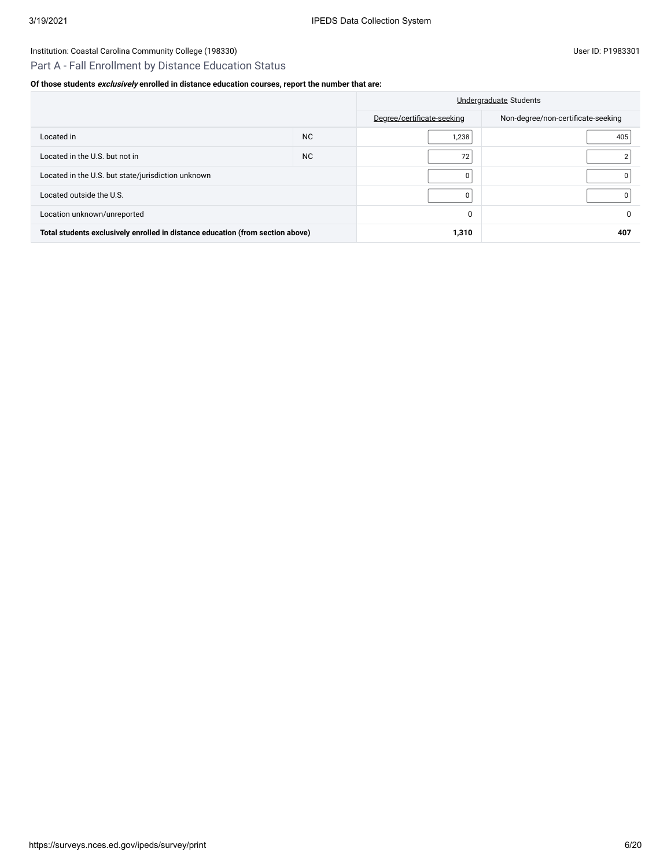### Institution: Coastal Carolina Community College (198330) Conservation: Coastal Carolina Community College (198330)

## Part A - Fall Enrollment by Distance Education Status

### **Of those students exclusively enrolled in distance education courses, report the number that are:**

|                                                                                |           |                            | Undergraduate Students             |
|--------------------------------------------------------------------------------|-----------|----------------------------|------------------------------------|
|                                                                                |           | Degree/certificate-seeking | Non-degree/non-certificate-seeking |
| Located in                                                                     | <b>NC</b> | 1,238                      | 405                                |
| Located in the U.S. but not in                                                 | <b>NC</b> | 72                         |                                    |
| Located in the U.S. but state/jurisdiction unknown                             | $\Omega$  |                            |                                    |
| Located outside the U.S.                                                       |           | $\Omega$                   |                                    |
| Location unknown/unreported                                                    |           | 0                          | 0                                  |
| Total students exclusively enrolled in distance education (from section above) |           | 1,310                      | 407                                |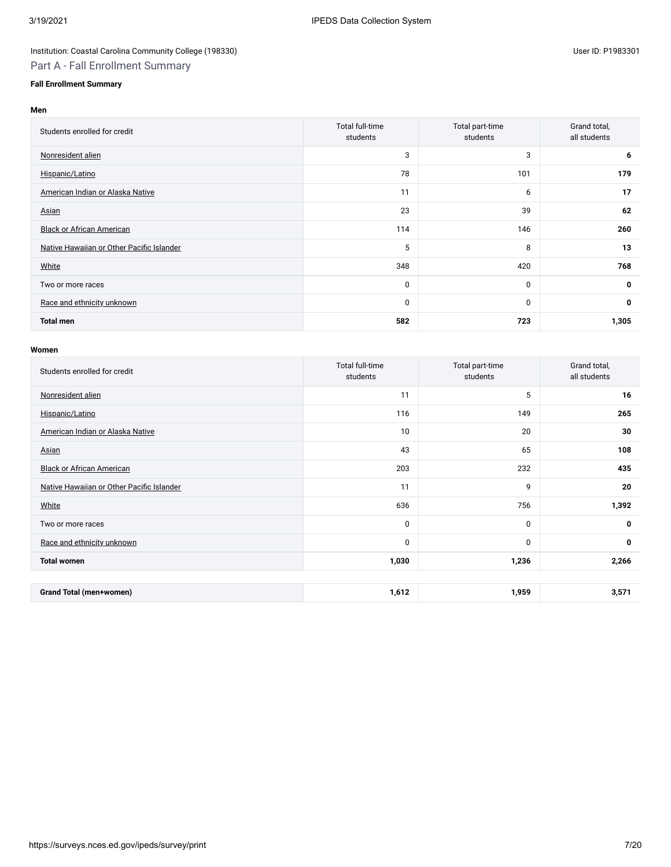## Institution: Coastal Carolina Community College (198330) Conservation: Coastal Carolina Community College (198330) Part A - Fall Enrollment Summary

### **Fall Enrollment Summary**

| len                              |                             |                             |                              |  |  |
|----------------------------------|-----------------------------|-----------------------------|------------------------------|--|--|
| Students enrolled for credit     | Total full-time<br>students | Total part-time<br>students | Grand total,<br>all students |  |  |
| Nonresident alien                |                             | 3                           | o                            |  |  |
| Hispanic/Latino                  | 78                          | 101                         | 179                          |  |  |
| American Indian or Alaska Native |                             | 6                           | 17                           |  |  |
| Asian                            | 23                          | 39                          | 62                           |  |  |

| <b>Black or African American</b>          | 114 | 146 | 260          |
|-------------------------------------------|-----|-----|--------------|
| Native Hawaiian or Other Pacific Islander | 5   | 8   | 13           |
| White                                     | 348 | 420 | 768          |
| Two or more races                         | 0   |     | $\mathbf{0}$ |
| Race and ethnicity unknown                | 0   |     | 0            |
| <b>Total men</b>                          | 582 | 723 | 1,305        |

#### **Women**

| Students enrolled for credit              | Total full-time<br>students | Total part-time<br>students | Grand total,<br>all students |
|-------------------------------------------|-----------------------------|-----------------------------|------------------------------|
| Nonresident alien                         | 11                          | 5                           | 16                           |
| Hispanic/Latino                           | 116                         | 149                         | 265                          |
| American Indian or Alaska Native          | 10                          | 20                          | 30                           |
| Asian                                     | 43                          | 65                          | 108                          |
| <b>Black or African American</b>          | 203                         | 232                         | 435                          |
| Native Hawaiian or Other Pacific Islander | 11                          | 9                           | 20                           |
| White                                     | 636                         | 756                         | 1,392                        |
| Two or more races                         | 0                           | $\mathbf 0$                 | $\mathbf 0$                  |
| Race and ethnicity unknown                | $\mathbf 0$                 | $\mathbf 0$                 | 0                            |
| <b>Total women</b>                        | 1,030                       | 1,236                       | 2,266                        |
|                                           |                             |                             |                              |
| <b>Grand Total (men+women)</b>            | 1,612                       | 1,959                       | 3,571                        |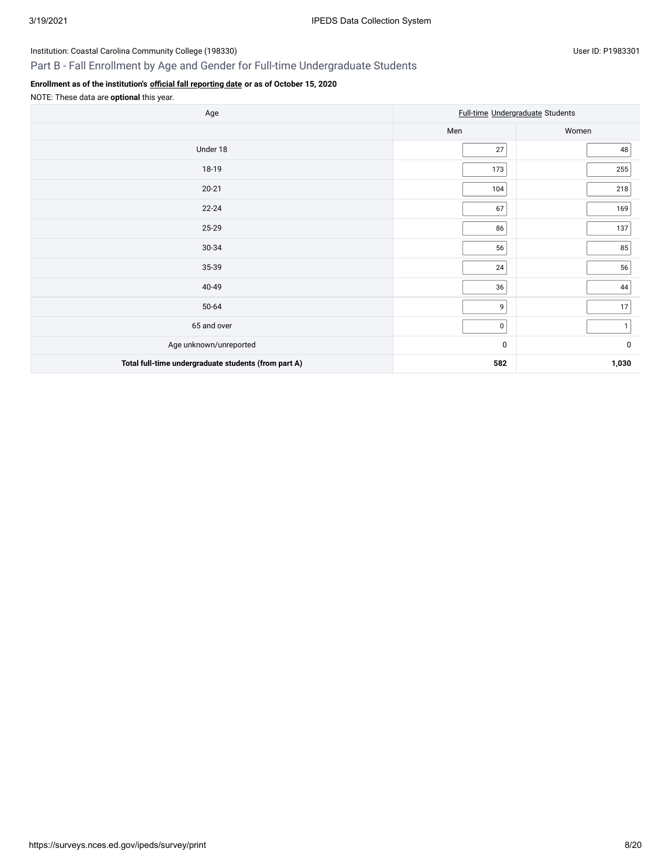## Part B - Fall Enrollment by Age and Gender for Full-time Undergraduate Students

### **Enrollment as of the institution's [official fall reporting date](javascript:openglossary(431)) or as of October 15, 2020**

NOTE: These data are **optional** this year.

| Age                                                  | Full-time Undergraduate Students |              |  |
|------------------------------------------------------|----------------------------------|--------------|--|
|                                                      | Men                              | Women        |  |
| Under 18                                             | 27                               | 48           |  |
| 18-19                                                | 173                              | 255          |  |
| $20 - 21$                                            | 104                              | 218          |  |
| $22 - 24$                                            | 67                               | 169          |  |
| 25-29                                                | 86                               | 137          |  |
| 30-34                                                | 56                               | 85           |  |
| 35-39                                                | $24\,$                           | 56           |  |
| 40-49                                                | 36                               | 44           |  |
| 50-64                                                | 9                                | 17           |  |
| 65 and over                                          | $\overline{0}$                   | $\mathbf{1}$ |  |
| Age unknown/unreported                               | 0                                | 0            |  |
| Total full-time undergraduate students (from part A) | 582                              | 1,030        |  |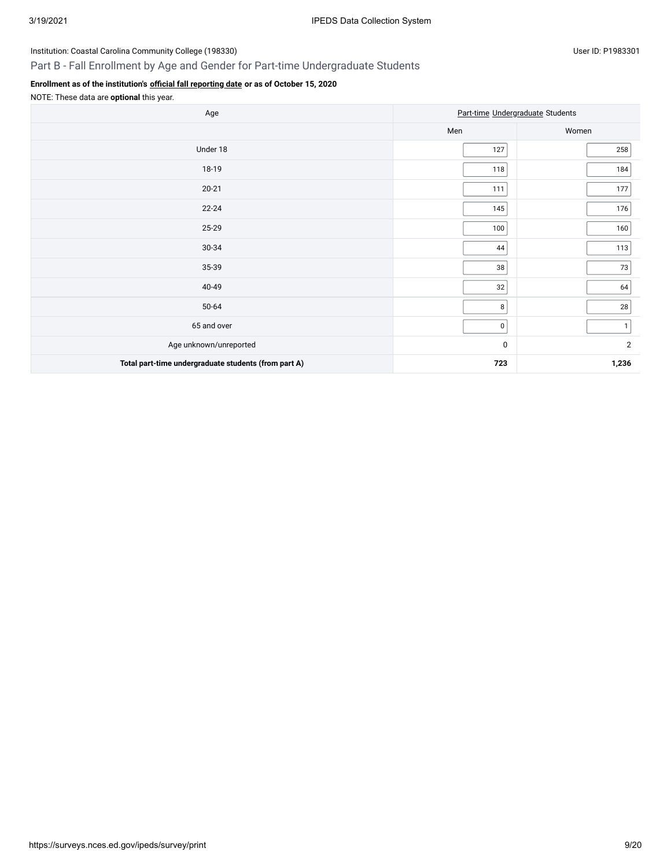## Part B - Fall Enrollment by Age and Gender for Part-time Undergraduate Students

### **Enrollment as of the institution's [official fall reporting date](javascript:openglossary(431)) or as of October 15, 2020**

NOTE: These data are **optional** this year.

| Age                                                  | Part-time Undergraduate Students |                |  |
|------------------------------------------------------|----------------------------------|----------------|--|
|                                                      | Men                              | Women          |  |
| Under 18                                             | 127                              | 258            |  |
| 18-19                                                | 118                              | 184            |  |
| $20 - 21$                                            | 111                              | 177            |  |
| $22 - 24$                                            | 145                              | 176            |  |
| 25-29                                                | 100                              | 160            |  |
| 30-34                                                | 44                               | 113            |  |
| 35-39                                                | 38                               | $73\,$         |  |
| 40-49                                                | 32                               | 64             |  |
| 50-64                                                | 8                                | 28             |  |
| 65 and over                                          | 0                                | $\mathbf{1}$   |  |
| Age unknown/unreported                               | $\pmb{0}$                        | $\overline{2}$ |  |
| Total part-time undergraduate students (from part A) | 723                              | 1,236          |  |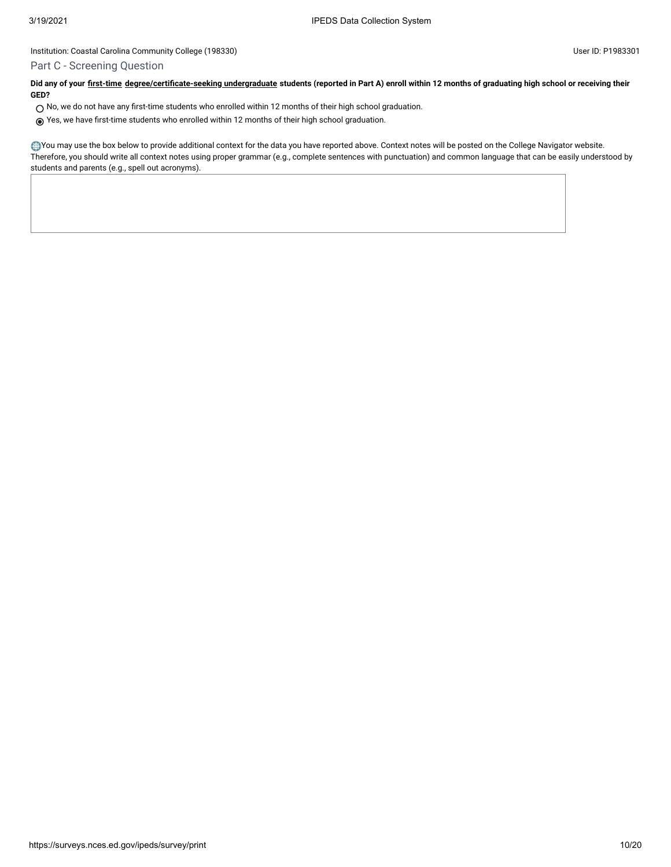### Part C - Screening Question

**Did any of your [first-time](javascript:openglossary(241)) [degree/certificate-seeking undergraduate](javascript:openglossary(171)) students (reported in Part A) enroll within 12 months of graduating high school or receiving their GED?**

- $\bigcirc$  No, we do not have any first-time students who enrolled within 12 months of their high school graduation.
- Yes, we have first-time students who enrolled within 12 months of their high school graduation.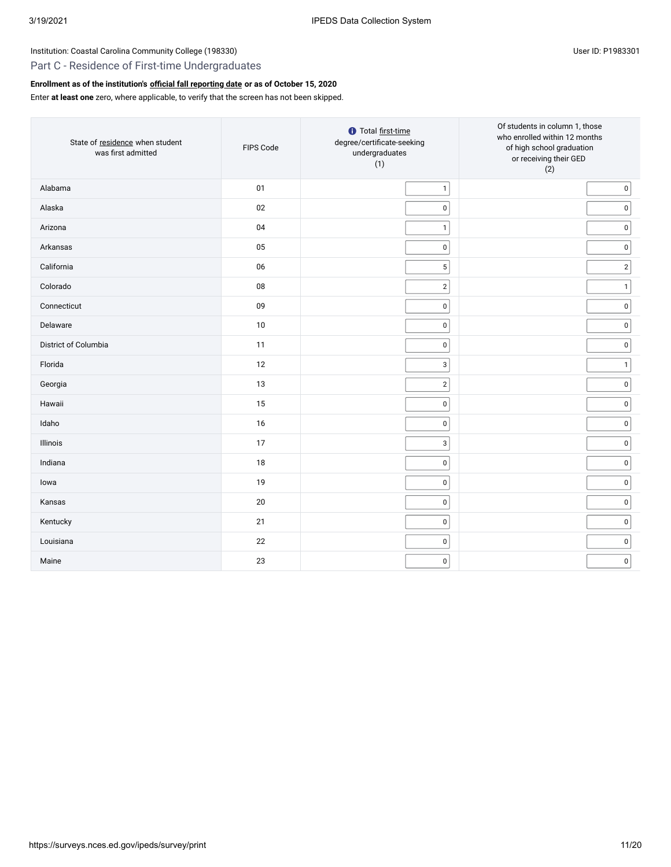### Part C - Residence of First-time Undergraduates

## **Enrollment as of the institution's [official fall reporting date](javascript:openglossary(431)) or as of October 15, 2020**

Enter **at least one** zero, where applicable, to verify that the screen has not been skipped.

| State of residence when student<br>was first admitted | FIPS Code  | <b>O</b> Total first-time<br>degree/certificate-seeking<br>undergraduates<br>(1) | Of students in column 1, those<br>who enrolled within 12 months<br>of high school graduation<br>or receiving their GED<br>(2) |
|-------------------------------------------------------|------------|----------------------------------------------------------------------------------|-------------------------------------------------------------------------------------------------------------------------------|
| Alabama                                               | 01         | $\mathbf{1}$                                                                     | $\pmb{0}$                                                                                                                     |
| Alaska                                                | 02         | 0                                                                                | $\pmb{0}$                                                                                                                     |
| Arizona                                               | 04         | $\mathbf{1}$                                                                     | $\pmb{0}$                                                                                                                     |
| Arkansas                                              | 05         | $\mathsf 0$                                                                      | $\pmb{0}$                                                                                                                     |
| California                                            | 06         | 5                                                                                | $\mathbf 2$                                                                                                                   |
| Colorado                                              | ${\bf 08}$ | $\mathbf{2}$                                                                     | $\mathbf{1}$                                                                                                                  |
| Connecticut                                           | 09         | $\mathsf 0$                                                                      | $\pmb{0}$                                                                                                                     |
| Delaware                                              | $10\,$     | $\pmb{0}$                                                                        | $\pmb{0}$                                                                                                                     |
| District of Columbia                                  | 11         | $\mathsf 0$                                                                      | $\pmb{0}$                                                                                                                     |
| Florida                                               | 12         | 3                                                                                | $\mathbf{1}$                                                                                                                  |
| Georgia                                               | 13         | $\overline{2}$                                                                   | $\pmb{0}$                                                                                                                     |
| Hawaii                                                | 15         | $\mathsf 0$                                                                      | $\pmb{0}$                                                                                                                     |
| Idaho                                                 | 16         | 0                                                                                | $\pmb{0}$                                                                                                                     |
| Illinois                                              | 17         | $\mathsf 3$                                                                      | $\pmb{0}$                                                                                                                     |
| Indiana                                               | 18         | $\pmb{0}$                                                                        | $\pmb{0}$                                                                                                                     |
| lowa                                                  | 19         | $\pmb{0}$                                                                        | $\pmb{0}$                                                                                                                     |
| Kansas                                                | 20         | 0                                                                                | $\pmb{0}$                                                                                                                     |
| Kentucky                                              | 21         | 0                                                                                | $\pmb{0}$                                                                                                                     |
| Louisiana                                             | 22         | $\pmb{0}$                                                                        | $\pmb{0}$                                                                                                                     |
| Maine                                                 | 23         | $\mathsf 0$                                                                      | $\pmb{0}$                                                                                                                     |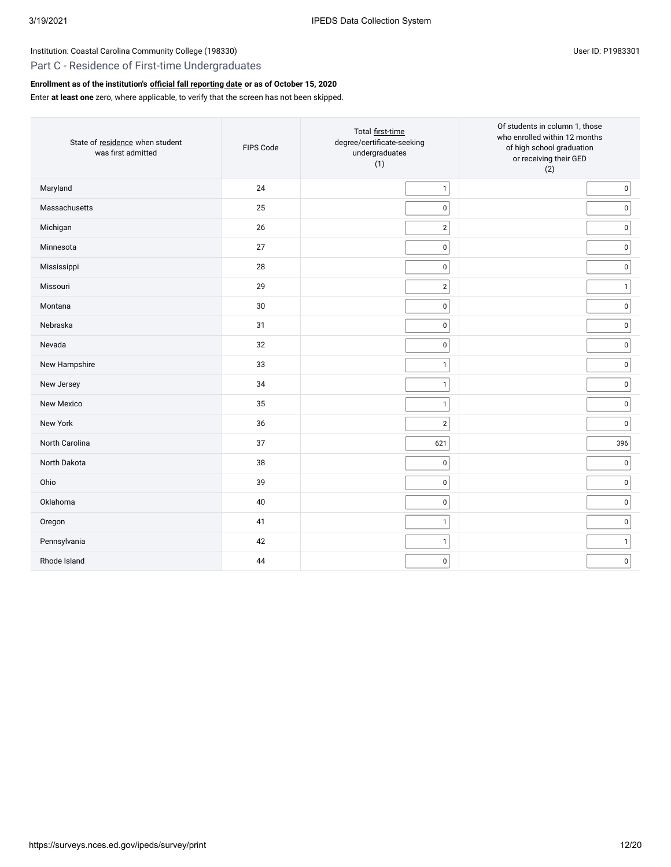### Part C - Residence of First-time Undergraduates

## **Enrollment as of the institution's [official fall reporting date](javascript:openglossary(431)) or as of October 15, 2020**

Enter **at least one** zero, where applicable, to verify that the screen has not been skipped.

| State of residence when student<br>was first admitted | FIPS Code | Total first-time<br>degree/certificate-seeking<br>undergraduates<br>(1) | Of students in column 1, those<br>who enrolled within 12 months<br>of high school graduation<br>or receiving their GED<br>(2) |
|-------------------------------------------------------|-----------|-------------------------------------------------------------------------|-------------------------------------------------------------------------------------------------------------------------------|
| Maryland                                              | 24        | $\mathbf{1}$                                                            | $\pmb{0}$                                                                                                                     |
| Massachusetts                                         | 25        | $\pmb{0}$                                                               | $\pmb{0}$                                                                                                                     |
| Michigan                                              | 26        | $\overline{2}$                                                          | $\pmb{0}$                                                                                                                     |
| Minnesota                                             | 27        | $\pmb{0}$                                                               | $\pmb{0}$                                                                                                                     |
| Mississippi                                           | 28        | $\pmb{0}$                                                               | $\pmb{0}$                                                                                                                     |
| Missouri                                              | 29        | $\overline{2}$                                                          | $\mathbf{1}$                                                                                                                  |
| Montana                                               | 30        | $\pmb{0}$                                                               | $\pmb{0}$                                                                                                                     |
| Nebraska                                              | 31        | $\pmb{0}$                                                               | $\pmb{0}$                                                                                                                     |
| Nevada                                                | 32        | $\pmb{0}$                                                               | $\pmb{0}$                                                                                                                     |
| New Hampshire                                         | 33        | $\mathbf{1}$                                                            | $\pmb{0}$                                                                                                                     |
| New Jersey                                            | 34        | $\mathbf{1}$                                                            | $\pmb{0}$                                                                                                                     |
| New Mexico                                            | 35        | $\mathbf{1}$                                                            | $\pmb{0}$                                                                                                                     |
| New York                                              | 36        | $\overline{2}$                                                          | $\pmb{0}$                                                                                                                     |
| North Carolina                                        | 37        | 621                                                                     | 396                                                                                                                           |
| North Dakota                                          | 38        | $\pmb{0}$                                                               | $\pmb{0}$                                                                                                                     |
| Ohio                                                  | 39        | $\mathsf 0$                                                             | $\pmb{0}$                                                                                                                     |
| Oklahoma                                              | 40        | $\pmb{0}$                                                               | $\pmb{0}$                                                                                                                     |
| Oregon                                                | 41        | $\mathbf{1}$                                                            | $\pmb{0}$                                                                                                                     |
| Pennsylvania                                          | 42        | $\mathbf{1}$                                                            | $\mathbf{1}$                                                                                                                  |
| Rhode Island                                          | 44        | $\pmb{0}$                                                               | $\pmb{0}$                                                                                                                     |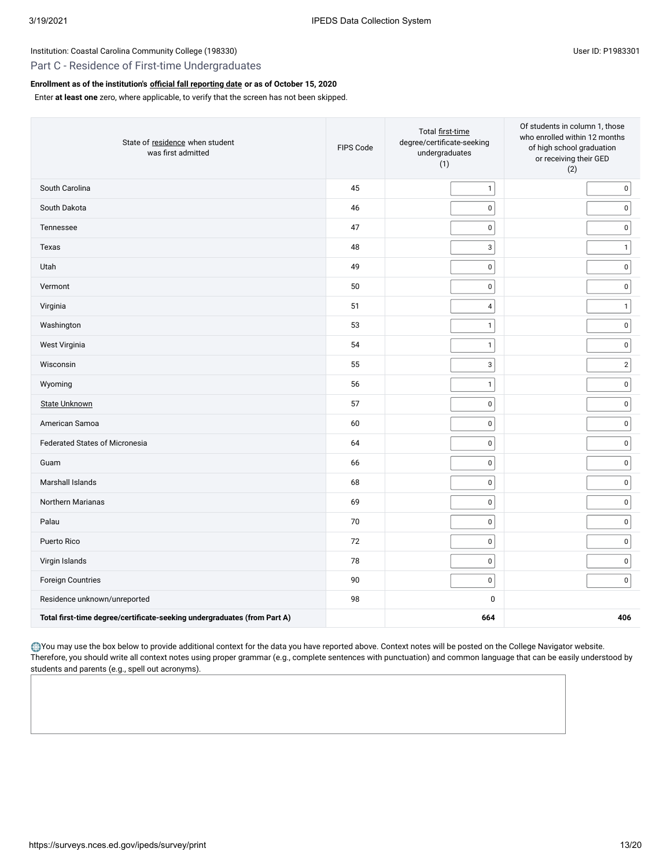### Part C - Residence of First-time Undergraduates

### **Enrollment as of the institution's [official fall reporting date](javascript:openglossary(431)) or as of October 15, 2020**

Enter **at least one** zero, where applicable, to verify that the screen has not been skipped.

| State of residence when student<br>was first admitted                    | FIPS Code | Total first-time<br>degree/certificate-seeking<br>undergraduates<br>(1) | Of students in column 1, those<br>who enrolled within 12 months<br>of high school graduation<br>or receiving their GED<br>(2) |
|--------------------------------------------------------------------------|-----------|-------------------------------------------------------------------------|-------------------------------------------------------------------------------------------------------------------------------|
| South Carolina                                                           | 45        | $\mathbf{1}$                                                            | $\pmb{0}$                                                                                                                     |
| South Dakota                                                             | 46        | $\mathsf 0$                                                             | $\mathsf 0$                                                                                                                   |
| Tennessee                                                                | 47        | $\mathsf 0$                                                             | $\mathsf 0$                                                                                                                   |
| Texas                                                                    | 48        | $\mathsf 3$                                                             | $\mathbf{1}$                                                                                                                  |
| Utah                                                                     | 49        | $\mathsf 0$                                                             | $\mathsf 0$                                                                                                                   |
| Vermont                                                                  | 50        | $\pmb{0}$                                                               | $\mathsf 0$                                                                                                                   |
| Virginia                                                                 | 51        | $\overline{4}$                                                          | $\mathbf{1}$                                                                                                                  |
| Washington                                                               | 53        | $\mathbf{1}$                                                            | $\mathsf 0$                                                                                                                   |
| West Virginia                                                            | 54        | $\mathbf 1$                                                             | $\pmb{0}$                                                                                                                     |
| Wisconsin                                                                | 55        | $\ensuremath{\mathsf{3}}$                                               | $\sqrt{2}$                                                                                                                    |
| Wyoming                                                                  | 56        | $\mathbf{1}$                                                            | $\mathsf 0$                                                                                                                   |
| <b>State Unknown</b>                                                     | 57        | $\pmb{0}$                                                               | $\pmb{0}$                                                                                                                     |
| American Samoa                                                           | 60        | $\mathsf 0$                                                             | $\mathsf 0$                                                                                                                   |
| <b>Federated States of Micronesia</b>                                    | 64        | $\mathsf 0$                                                             | $\mathsf 0$                                                                                                                   |
| Guam                                                                     | 66        | $\mathsf 0$                                                             | $\pmb{0}$                                                                                                                     |
| Marshall Islands                                                         | 68        | $\pmb{0}$                                                               | $\pmb{0}$                                                                                                                     |
| Northern Marianas                                                        | 69        | $\mathbf 0$                                                             | $\mathbf 0$                                                                                                                   |
| Palau                                                                    | 70        | $\mathbf 0$                                                             | $\mathsf 0$                                                                                                                   |
| Puerto Rico                                                              | 72        | $\mathbf 0$                                                             | $\pmb{0}$                                                                                                                     |
| Virgin Islands                                                           | 78        | $\mathsf 0$                                                             | $\mathsf 0$                                                                                                                   |
| Foreign Countries                                                        | 90        | $\mathsf 0$                                                             | $\pmb{0}$                                                                                                                     |
| Residence unknown/unreported                                             | 98        | $\mathbf 0$                                                             |                                                                                                                               |
| Total first-time degree/certificate-seeking undergraduates (from Part A) |           | 664                                                                     | 406                                                                                                                           |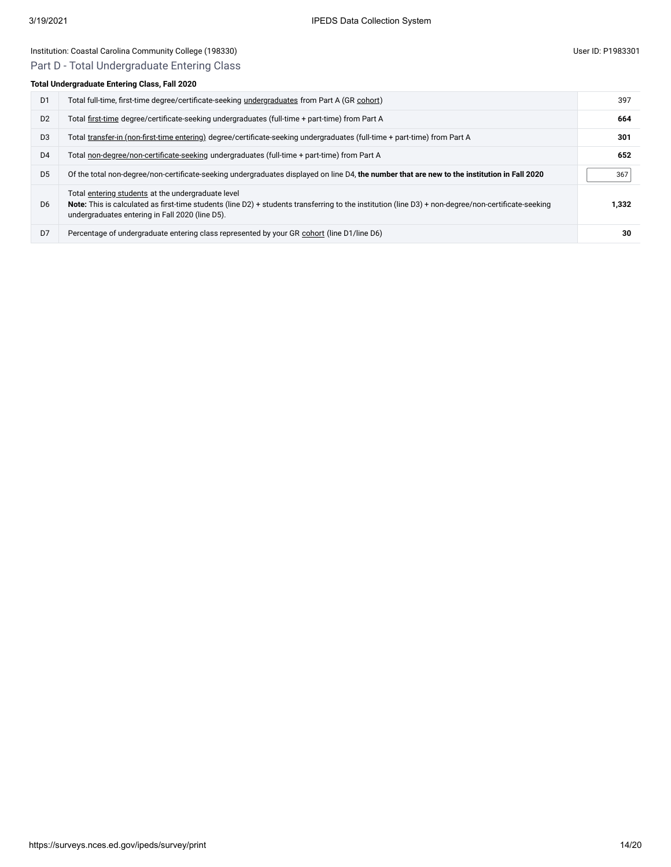## Institution: Coastal Carolina Community College (198330) and the Control of Control of the User ID: P1983301 User ID: P1983301

## Part D - Total Undergraduate Entering Class

### **Total Undergraduate Entering Class, Fall 2020**

| D <sub>1</sub> | Total full-time, first-time degree/certificate-seeking undergraduates from Part A (GR cohort)                                                                                                                                                                | 397   |
|----------------|--------------------------------------------------------------------------------------------------------------------------------------------------------------------------------------------------------------------------------------------------------------|-------|
| D <sub>2</sub> | Total first-time degree/certificate-seeking undergraduates (full-time + part-time) from Part A                                                                                                                                                               | 664   |
| D <sub>3</sub> | Total transfer-in (non-first-time entering) degree/certificate-seeking undergraduates (full-time + part-time) from Part A                                                                                                                                    | 301   |
| D <sub>4</sub> | Total non-degree/non-certificate-seeking undergraduates (full-time + part-time) from Part A                                                                                                                                                                  | 652   |
| D <sub>5</sub> | Of the total non-degree/non-certificate-seeking undergraduates displayed on line D4, the number that are new to the institution in Fall 2020                                                                                                                 | 367   |
| D <sub>6</sub> | Total entering students at the undergraduate level<br>Note: This is calculated as first-time students (line D2) + students transferring to the institution (line D3) + non-degree/non-certificate-seeking<br>undergraduates entering in Fall 2020 (line D5). | 1.332 |
| D7             | Percentage of undergraduate entering class represented by your GR cohort (line D1/line D6)                                                                                                                                                                   | 30    |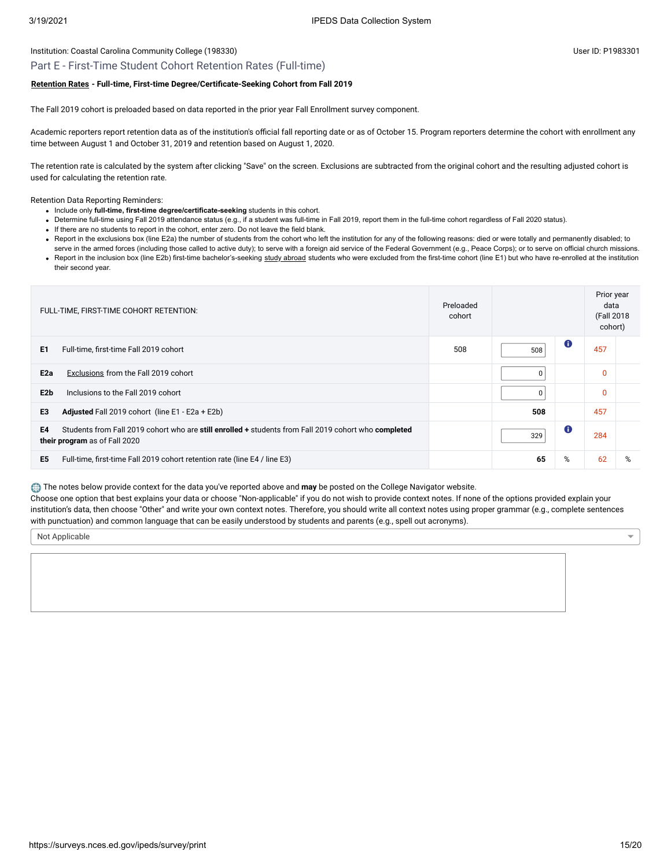#### Institution: Coastal Carolina Community College (198330) Controlled the Supervey of the USE of the USE P1983301

#### Part E - First-Time Student Cohort Retention Rates (Full-time)

#### **[Retention Rates](javascript:openglossary(772)) - Full-time, First-time Degree/Certificate-Seeking Cohort from Fall 2019**

The Fall 2019 cohort is preloaded based on data reported in the prior year Fall Enrollment survey component.

Academic reporters report retention data as of the institution's official fall reporting date or as of October 15. Program reporters determine the cohort with enrollment any time between August 1 and October 31, 2019 and retention based on August 1, 2020.

The retention rate is calculated by the system after clicking "Save" on the screen. Exclusions are subtracted from the original cohort and the resulting adjusted cohort is used for calculating the retention rate.

Retention Data Reporting Reminders:

- Include only **full-time, first-time degree/certificate-seeking** students in this cohort.
- Determine full-time using Fall 2019 attendance status (e.g., if a student was full-time in Fall 2019, report them in the full-time cohort regardless of Fall 2020 status).
- If there are no students to report in the cohort, enter zero. Do not leave the field blank.
- . Report in the exclusions box (line E2a) the number of students from the cohort who left the institution for any of the following reasons: died or were totally and permanently disabled; to
- serve in the armed forces (including those called to active duty); to serve with a foreign aid service of the Federal Government (e.g., Peace Corps); or to serve on official church missions. • Report in the inclusion box (line E2b) first-time bachelor's-seeking [study abroad](javascript:openglossary(714)) students who were excluded from the first-time cohort (line E1) but who have re-enrolled at the institution their second year.

| FULL-TIME, FIRST-TIME COHORT RETENTION:                                                                                                     | Preloaded<br>cohort |          |             | Prior year<br>data<br>(Fall 2018<br>cohort) |   |
|---------------------------------------------------------------------------------------------------------------------------------------------|---------------------|----------|-------------|---------------------------------------------|---|
| E <sub>1</sub><br>Full-time, first-time Fall 2019 cohort                                                                                    | 508                 | 508      | $\mathbf 0$ | 457                                         |   |
| E <sub>2a</sub><br><b>Exclusions from the Fall 2019 cohort</b>                                                                              |                     | $\Omega$ |             | $\mathbf{0}$                                |   |
| E <sub>2</sub> b<br>Inclusions to the Fall 2019 cohort                                                                                      |                     | 0        |             | $\mathbf{0}$                                |   |
| E <sub>3</sub><br>Adjusted Fall 2019 cohort (line E1 - E2a + E2b)                                                                           |                     | 508      |             | 457                                         |   |
| E4<br>Students from Fall 2019 cohort who are still enrolled + students from Fall 2019 cohort who completed<br>their program as of Fall 2020 |                     | 329      | $\mathbf 0$ | 284                                         |   |
| E <sub>5</sub><br>Full-time, first-time Fall 2019 cohort retention rate (line E4 / line E3)                                                 |                     | 65       | %           | 62                                          | % |

The notes below provide context for the data you've reported above and **may** be posted on the College Navigator website.

Choose one option that best explains your data or choose "Non-applicable" if you do not wish to provide context notes. If none of the options provided explain your institution's data, then choose "Other" and write your own context notes. Therefore, you should write all context notes using proper grammar (e.g., complete sentences with punctuation) and common language that can be easily understood by students and parents (e.g., spell out acronyms).

Not Applicable

https://surveys.nces.ed.gov/ipeds/survey/print 15/20

 $\overline{\phantom{0}}$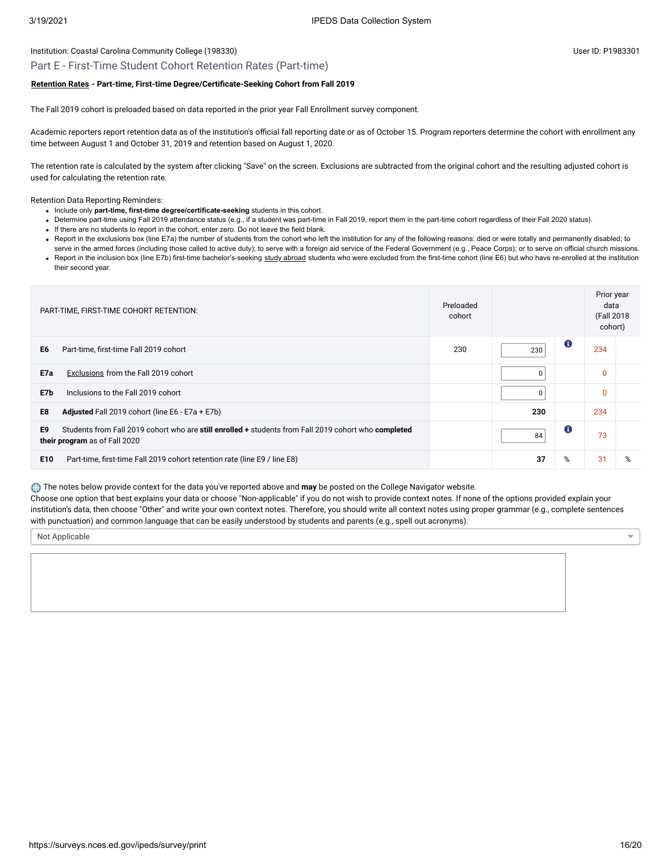#### Institution: Coastal Carolina Community College (198330) Controlled the Supervey of the USE of the USE P1983301

### Part E - First-Time Student Cohort Retention Rates (Part-time)

#### **[Retention Rates](javascript:openglossary(772)) - Part-time, First-time Degree/Certificate-Seeking Cohort from Fall 2019**

The Fall 2019 cohort is preloaded based on data reported in the prior year Fall Enrollment survey component.

Academic reporters report retention data as of the institution's official fall reporting date or as of October 15. Program reporters determine the cohort with enrollment any time between August 1 and October 31, 2019 and retention based on August 1, 2020.

The retention rate is calculated by the system after clicking "Save" on the screen. Exclusions are subtracted from the original cohort and the resulting adjusted cohort is used for calculating the retention rate.

Retention Data Reporting Reminders:

- Include only part-time, first-time degree/certificate-seeking students in this cohort.
- Determine part-time using Fall 2019 attendance status (e.g., if a student was part-time in Fall 2019, report them in the part-time cohort regardless of their Fall 2020 status).
- If there are no students to report in the cohort, enter zero. Do not leave the field blank.
- Report in the exclusions box (line E7a) the number of students from the cohort who left the institution for any of the following reasons: died or were totally and permanently disabled; to
- serve in the armed forces (including those called to active duty); to serve with a foreign aid service of the Federal Government (e.g., Peace Corps); or to serve on official church missions. . Report in the inclusion box (line E7b) first-time bachelor's-seeking [study abroad](javascript:openglossary(714)) students who were excluded from the first-time cohort (line E6) but who have re-enrolled at the institution their second year.

| PART-TIME, FIRST-TIME COHORT RETENTION:                                                                                                     | Preloaded<br>cohort |     |           | Prior year<br>data<br>(Fall 2018<br>cohort) |   |
|---------------------------------------------------------------------------------------------------------------------------------------------|---------------------|-----|-----------|---------------------------------------------|---|
| E6<br>Part-time, first-time Fall 2019 cohort                                                                                                | 230                 | 230 | $\bullet$ | 234                                         |   |
| E7a<br>Exclusions from the Fall 2019 cohort                                                                                                 |                     | 0   |           | $\mathbf{0}$                                |   |
| E7b<br>Inclusions to the Fall 2019 cohort                                                                                                   |                     | 0   |           | $\mathbf{0}$                                |   |
| E8<br>Adjusted Fall 2019 cohort (line E6 - E7a + E7b)                                                                                       |                     | 230 |           | 234                                         |   |
| E9<br>Students from Fall 2019 cohort who are still enrolled + students from Fall 2019 cohort who completed<br>their program as of Fall 2020 |                     | 84  | O         | 73                                          |   |
| E <sub>10</sub><br>Part-time, first-time Fall 2019 cohort retention rate (line E9 / line E8)                                                |                     | 37  | %         | 31                                          | % |

The notes below provide context for the data you've reported above and **may** be posted on the College Navigator website.

Choose one option that best explains your data or choose "Non-applicable" if you do not wish to provide context notes. If none of the options provided explain your institution's data, then choose "Other" and write your own context notes. Therefore, you should write all context notes using proper grammar (e.g., complete sentences with punctuation) and common language that can be easily understood by students and parents (e.g., spell out acronyms).

Not Applicable

https://surveys.nces.ed.gov/ipeds/survey/print 16/20

 $\overline{\phantom{0}}$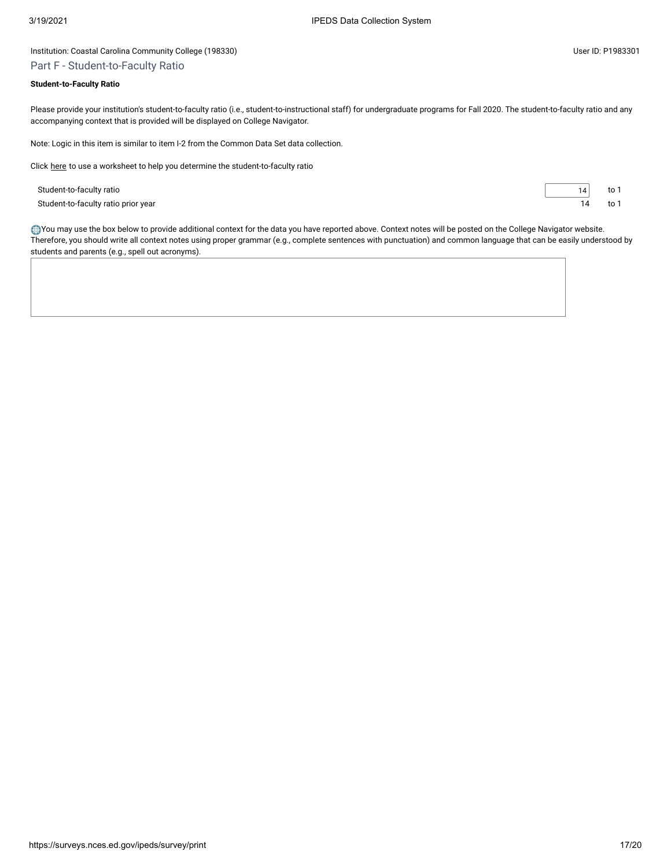### Institution: Coastal Carolina Community College (198330) User ID: P1983301 Part F - Student-to-Faculty Ratio

#### **Student-to-Faculty Ratio**

Please provide your institution's student-to-faculty ratio (i.e., student-to-instructional staff) for undergraduate programs for Fall 2020. The student-to-faculty ratio and any accompanying context that is provided will be displayed on College Navigator.

Note: Logic in this item is similar to item I-2 from the Common Data Set data collection.

Click [here](javascript:openEFworksheet(2)) to use a worksheet to help you determine the student-to-faculty ratio

Student-to-faculty ratio 14 to 1 Student-to-faculty ratio prior year 14 to 1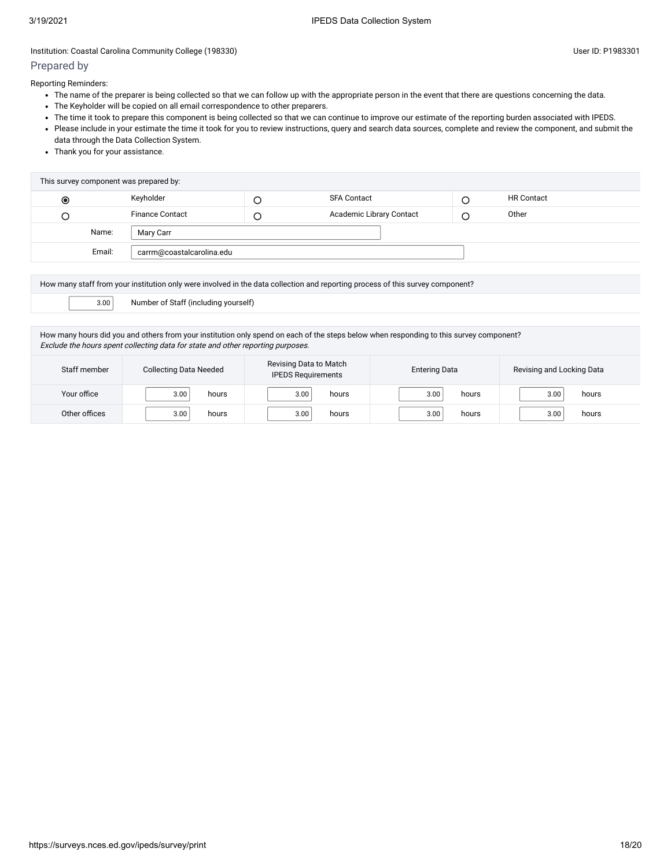# Prepared by

Reporting Reminders:

- The name of the preparer is being collected so that we can follow up with the appropriate person in the event that there are questions concerning the data.
- The Keyholder will be copied on all email correspondence to other preparers.
- The time it took to prepare this component is being collected so that we can continue to improve our estimate of the reporting burden associated with IPEDS.
- Please include in your estimate the time it took for you to review instructions, query and search data sources, complete and review the component, and submit the data through the Data Collection System.
- Thank you for your assistance.

| This survey component was prepared by: |        |                           |  |                          |   |                   |
|----------------------------------------|--------|---------------------------|--|--------------------------|---|-------------------|
| ◉                                      |        | Keyholder                 |  | <b>SFA Contact</b>       | ر | <b>HR Contact</b> |
| O                                      |        | <b>Finance Contact</b>    |  | Academic Library Contact | O | Other             |
|                                        | Name:  | Mary Carr                 |  |                          |   |                   |
|                                        | Email: | carrm@coastalcarolina.edu |  |                          |   |                   |
|                                        |        |                           |  |                          |   |                   |

How many staff from your institution only were involved in the data collection and reporting process of this survey component?

3.00 Number of Staff (including yourself)

How many hours did you and others from your institution only spend on each of the steps below when responding to this survey component? Exclude the hours spent collecting data for state and other reporting purposes.

| Staff member  | <b>Collecting Data Needed</b> | Revising Data to Match<br><b>Entering Data</b><br><b>IPEDS Requirements</b> |       | Revising and Locking Data |
|---------------|-------------------------------|-----------------------------------------------------------------------------|-------|---------------------------|
| Your office   | 3.00                          | 3.00                                                                        | 3.00  | hours                     |
|               | hours                         | hours                                                                       | hours | 3.00                      |
| Other offices | hours                         | hours                                                                       | hours | hours                     |
|               | 3.00                          | 3.00                                                                        | 3.00  | 3.00                      |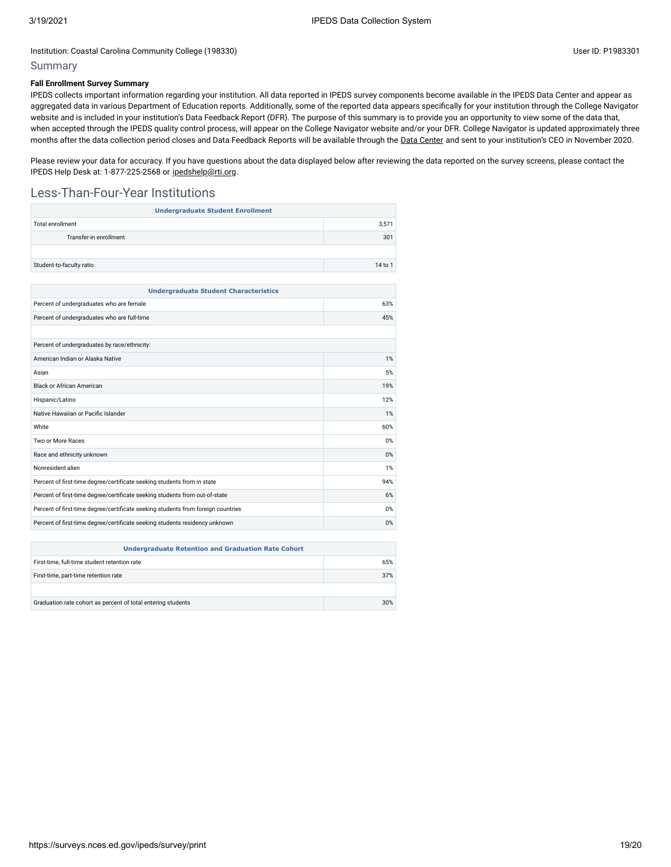## Summary

### **Fall Enrollment Survey Summary**

IPEDS collects important information regarding your institution. All data reported in IPEDS survey components become available in the IPEDS Data Center and appear as aggregated data in various Department of Education reports. Additionally, some of the reported data appears specifically for your institution through the College Navigator website and is included in your institution's Data Feedback Report (DFR). The purpose of this summary is to provide you an opportunity to view some of the data that, when accepted through the IPEDS quality control process, will appear on the College Navigator website and/or your DFR. College Navigator is updated approximately three months after the data collection period closes and Data Feedback Reports will be available through the Data [Center](https://nces.ed.gov/ipeds/use-the-data) and sent to your institution's CEO in November 2020.

Please review your data for accuracy. If you have questions about the data displayed below after reviewing the data reported on the survey screens, please contact the IPEDS Help Desk at: 1-877-225-2568 or [ipedshelp@rti.org.](mailto:ipedshelp@rti.org)

## Less-Than-Four-Year Institutions

| <b>Total enrollment</b><br>3,571                                                  |         |  |  |  |
|-----------------------------------------------------------------------------------|---------|--|--|--|
| Transfer-in enrollment                                                            | 301     |  |  |  |
|                                                                                   |         |  |  |  |
| Student-to-faculty ratio                                                          | 14 to 1 |  |  |  |
|                                                                                   |         |  |  |  |
| <b>Undergraduate Student Characteristics</b>                                      |         |  |  |  |
| Percent of undergraduates who are female                                          | 63%     |  |  |  |
| Percent of undergraduates who are full-time                                       | 45%     |  |  |  |
|                                                                                   |         |  |  |  |
| Percent of undergraduates by race/ethnicity:                                      |         |  |  |  |
| American Indian or Alaska Native<br>1%                                            |         |  |  |  |
| Asian                                                                             |         |  |  |  |
| <b>Black or African American</b><br>19%                                           |         |  |  |  |
| Hispanic/Latino                                                                   |         |  |  |  |
| Native Hawaiian or Pacific Islander                                               | 1%      |  |  |  |
| White                                                                             | 60%     |  |  |  |
| Two or More Races                                                                 | 0%      |  |  |  |
| Race and ethnicity unknown                                                        |         |  |  |  |
| Nonresident alien                                                                 | 1%      |  |  |  |
| Percent of first-time degree/certificate seeking students from in state           | 94%     |  |  |  |
| Percent of first-time degree/certificate seeking students from out-of-state       |         |  |  |  |
| Percent of first-time degree/certificate seeking students from foreign countries  |         |  |  |  |
| Percent of first-time degree/certificate seeking students residency unknown<br>0% |         |  |  |  |

| <b>Undergraduate Retention and Graduation Rate Cohort</b>    |     |  |  |  |
|--------------------------------------------------------------|-----|--|--|--|
| First-time, full-time student retention rate<br>65%          |     |  |  |  |
| First-time, part-time retention rate                         | 37% |  |  |  |
|                                                              |     |  |  |  |
| Graduation rate cohort as percent of total entering students | 30% |  |  |  |